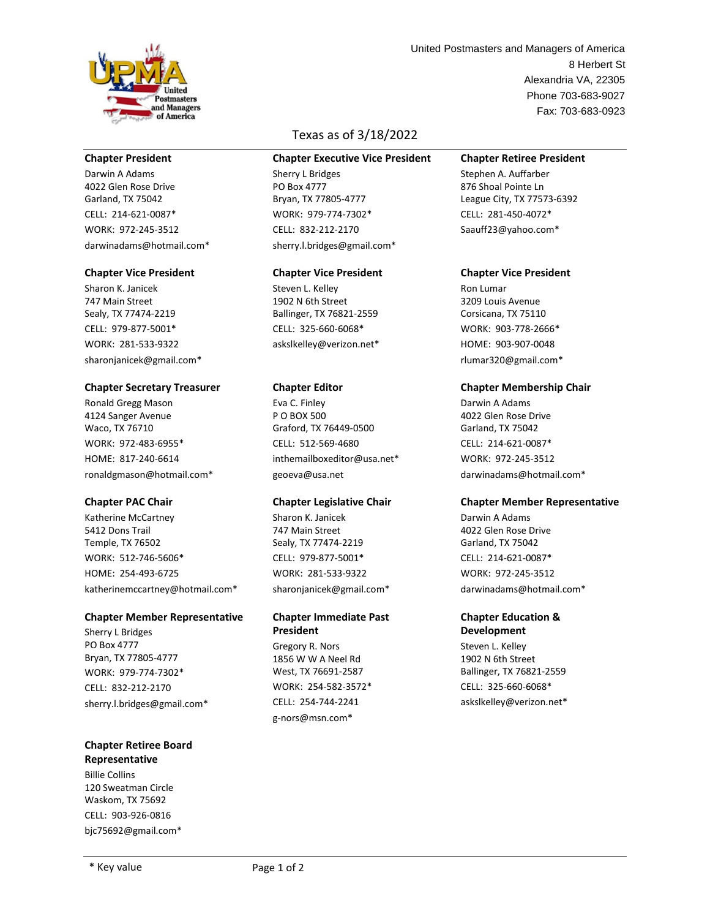

## **Chapter President**

Darwin A Adams 4022 Glen Rose Drive Garland, TX 75042 CELL: 214-621-0087\* WORK: 972-245-3512 darwinadams@hotmail.com\*

## **Chapter Vice President**

Sharon K. Janicek 747 Main Street Sealy, TX 77474-2219 CELL: 979-877-5001\* WORK: 281-533-9322 sharonjanicek@gmail.com\*

#### **Chapter Secretary Treasurer**

Ronald Gregg Mason 4124 Sanger Avenue Waco, TX 76710 WORK: 972-483-6955\* HOME: 817-240-6614 ronaldgmason@hotmail.com\*

## **Chapter PAC Chair**

Katherine McCartney 5412 Dons Trail Temple, TX 76502 WORK: 512-746-5606\* HOME: 254-493-6725 katherinemccartney@hotmail.com\*

## **Chapter Member Representative**

Sherry L Bridges PO Box 4777 Bryan, TX 77805-4777 WORK: 979-774-7302\* CELL: 832-212-2170 sherry.l.bridges@gmail.com\*

## **Chapter Retiree Board Representative**

Billie Collins 120 Sweatman Circle Waskom, TX 75692 CELL: 903-926-0816 bjc75692@gmail.com\*

# Texas as of 3/18/2022

#### **Chapter Executive Vice President**

Sherry L Bridges PO Box 4777 Bryan, TX 77805-4777 WORK: 979-774-7302\* CELL: 832-212-2170 sherry.l.bridges@gmail.com\*

## **Chapter Vice President**

Steven L. Kelley 1902 N 6th Street Ballinger, TX 76821-2559 CELL: 325-660-6068\* askslkelley@verizon.net\*

## **Chapter Editor**

Eva C. Finley P O BOX 500 Graford, TX 76449-0500 CELL: 512-569-4680 inthemailboxeditor@usa.net\* geoeva@usa.net

## **Chapter Legislative Chair**

Sharon K. Janicek 747 Main Street Sealy, TX 77474-2219 CELL: 979-877-5001\* WORK: 281-533-9322 sharonjanicek@gmail.com\*

## **Chapter Immediate Past President**

Gregory R. Nors 1856 W W A Neel Rd West, TX 76691-2587 WORK: 254-582-3572\* CELL: 254-744-2241 g-nors@msn.com\*

Alexandria VA, 22305 Phone 703-683-9027 8 Herbert St Fax: 703-683-0923 United Postmasters and Managers of America

## **Chapter Retiree President**

Stephen A. Auffarber 876 Shoal Pointe Ln League City, TX 77573-6392 CELL: 281-450-4072\* Saauff23@yahoo.com\*

## **Chapter Vice President**

Ron Lumar 3209 Louis Avenue Corsicana, TX 75110 WORK: 903-778-2666\* HOME: 903-907-0048 rlumar320@gmail.com\*

## **Chapter Membership Chair**

Darwin A Adams 4022 Glen Rose Drive Garland, TX 75042 CELL: 214-621-0087\* WORK: 972-245-3512 darwinadams@hotmail.com\*

## **Chapter Member Representative**

Darwin A Adams 4022 Glen Rose Drive Garland, TX 75042 CELL: 214-621-0087\* WORK: 972-245-3512 darwinadams@hotmail.com\*

## **Chapter Education & Development**

Steven L. Kelley 1902 N 6th Street Ballinger, TX 76821-2559 CELL: 325-660-6068\* askslkelley@verizon.net\*